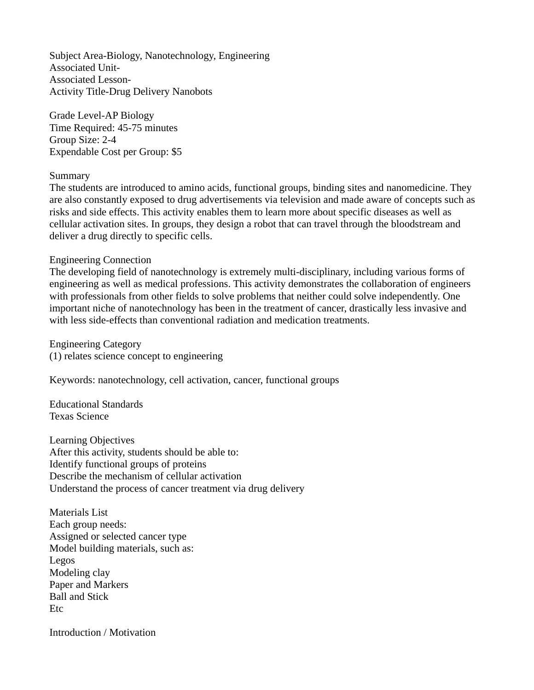Subject Area-Biology, Nanotechnology, Engineering Associated Unit-Associated Lesson-Activity Title-Drug Delivery Nanobots

Grade Level-AP Biology Time Required: 45-75 minutes Group Size: 2-4 Expendable Cost per Group: \$5

## Summary

The students are introduced to amino acids, functional groups, binding sites and nanomedicine. They are also constantly exposed to drug advertisements via television and made aware of concepts such as risks and side effects. This activity enables them to learn more about specific diseases as well as cellular activation sites. In groups, they design a robot that can travel through the bloodstream and deliver a drug directly to specific cells.

## Engineering Connection

The developing field of nanotechnology is extremely multi-disciplinary, including various forms of engineering as well as medical professions. This activity demonstrates the collaboration of engineers with professionals from other fields to solve problems that neither could solve independently. One important niche of nanotechnology has been in the treatment of cancer, drastically less invasive and with less side-effects than conventional radiation and medication treatments.

Engineering Category (1) relates science concept to engineering

Keywords: nanotechnology, cell activation, cancer, functional groups

Educational Standards Texas Science

Learning Objectives After this activity, students should be able to: Identify functional groups of proteins Describe the mechanism of cellular activation Understand the process of cancer treatment via drug delivery

Materials List Each group needs: Assigned or selected cancer type Model building materials, such as: Legos Modeling clay Paper and Markers Ball and Stick Etc

Introduction / Motivation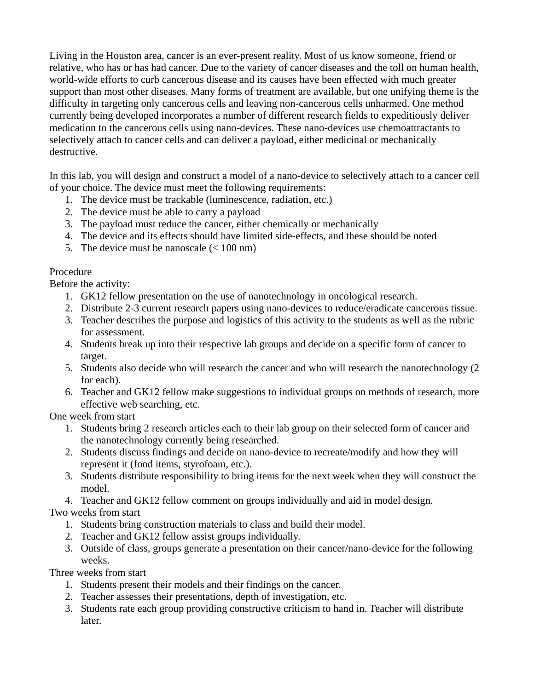Living in the Houston area, cancer is an ever-present reality. Most of us know someone, friend or relative, who has or has had cancer. Due to the variety of cancer diseases and the toll on human health, world-wide efforts to curb cancerous disease and its causes have been effected with much greater support than most other diseases. Many forms of treatment are available, but one unifying theme is the difficulty in targeting only cancerous cells and leaving non-cancerous cells unharmed. One method currently being developed incorporates a number of different research fields to expeditiously deliver medication to the cancerous cells using nano-devices. These nano-devices use chemoattractants to selectively attach to cancer cells and can deliver a payload, either medicinal or mechanically destructive.

In this lab, you will design and construct a model of a nano-device to selectively attach to a cancer cell of your choice. The device must meet the following requirements:

- 1. The device must be trackable (luminescence, radiation, etc.)
- 2. The device must be able to carry a payload
- 3. The payload must reduce the cancer, either chemically or mechanically
- 4. The device and its effects should have limited side-effects, and these should be noted
- 5. The device must be nanoscale  $(< 100 \text{ nm})$

## Procedure

Before the activity:

- 1. GK12 fellow presentation on the use of nanotechnology in oncological research.
- 2. Distribute 2-3 current research papers using nano-devices to reduce/eradicate cancerous tissue.
- 3. Teacher describes the purpose and logistics of this activity to the students as well as the rubric for assessment.
- 4. Students break up into their respective lab groups and decide on a specific form of cancer to target.
- 5. Students also decide who will research the cancer and who will research the nanotechnology (2 for each).
- 6. Teacher and GK12 fellow make suggestions to individual groups on methods of research, more effective web searching, etc.

One week from start

- 1. Students bring 2 research articles each to their lab group on their selected form of cancer and the nanotechnology currently being researched.
- 2. Students discuss findings and decide on nano-device to recreate/modify and how they will represent it (food items, styrofoam, etc.).
- 3. Students distribute responsibility to bring items for the next week when they will construct the model.
- 4. Teacher and GK12 fellow comment on groups individually and aid in model design.

## Two weeks from start

- 1. Students bring construction materials to class and build their model.
- 2. Teacher and GK12 fellow assist groups individually.
- 3. Outside of class, groups generate a presentation on their cancer/nano-device for the following weeks.

Three weeks from start

- 1. Students present their models and their findings on the cancer.
- 2. Teacher assesses their presentations, depth of investigation, etc.
- 3. Students rate each group providing constructive criticism to hand in. Teacher will distribute later.